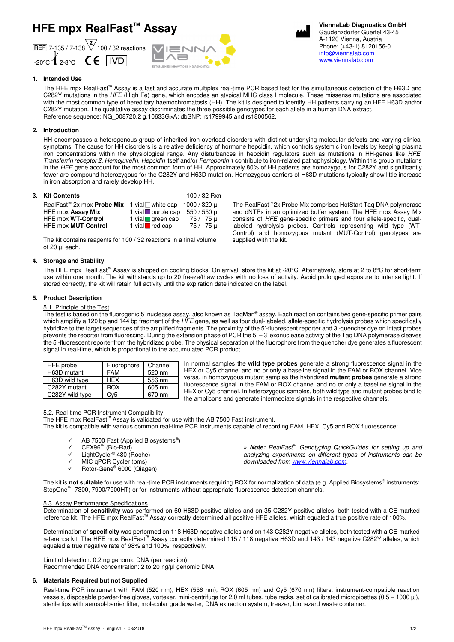# **HFE mpx RealFast™ Assay**







**ViennaLab Diagnostics GmbH** Gaudenzdorfer Guertel 43-45 A-1120 Vienna, Austria Phone: (+43-1) 8120156-0 info@viennalab.com www.viennalab.com

# **1. Intended Use**

The HFE mpx RealFast**™** Assay is a fast and accurate multiplex real-time PCR based test for the simultaneous detection of the H63D and C282Y mutations in the HFE (High Fe) gene, which encodes an atypical MHC class I molecule. These missense mutations are associated with the most common type of hereditary haemochromatosis (HH). The kit is designed to identify HH patients carrying an HFE H63D and/or C282Y mutation. The qualitative assay discriminates the three possible genotypes for each allele in a human DNA extract. Reference sequence: NG\_008720.2 g.10633G>A; dbSNP: rs1799945 and rs1800562.

# **2. Introduction**

HH encompasses a heterogenous group of inherited iron overload disorders with distinct underlying molecular defects and varying clinical symptoms. The cause for HH disorders is a relative deficiency of hormone hepcidin, which controls systemic iron levels by keeping plasma iron concentrations within the physiological range. Any disturbances in hepcidin regulators such as mutations in HH-genes like HFE, Transferrin receptor 2, Hemojuvelin, Hepcidin itself and/or Ferroportin 1 contribute to iron-related pathophysiology. Within this group mutations in the HFE gene account for the most common form of HH. Approximately 80% of HH patients are homozygous for C282Y and significantly fewer are compound heterozygous for the C282Y and H63D mutation. Homozygous carriers of H63D mutations typically show little increase in iron absorption and rarely develop HH.

# **3. Kit Contents** 100 / 32 Rxn

| v. INI VVIIIGIIG                                                                |                               | 1 <b>0 0 1 0 4 1 1 A 1 1</b> |
|---------------------------------------------------------------------------------|-------------------------------|------------------------------|
| RealFast <sup>"</sup> 2x mpx <b>Probe Mix</b> 1 vial white cap 1000 / 320 $\mu$ |                               |                              |
| HFE mpx Assay Mix                                                               | 1 vial purple cap $550/550$ µ |                              |
| HFE mpx WT-Control                                                              | 1 vial <b>q</b> green cap     | 75 / 75 ul                   |
| HFE mpx MUT-Control                                                             | 1 vial $\blacksquare$ red cap | 75 / 75 µl                   |

The kit contains reagents for 100 / 32 reactions in a final volume of 20 µl each.

# **4. Storage and Stability**

The HFE mpx RealFast**™** Assay is shipped on cooling blocks. On arrival, store the kit at -20°C. Alternatively, store at 2 to 8°C for short-term use within one month. The kit withstands up to 20 freeze/thaw cycles with no loss of activity. Avoid prolonged exposure to intense light. If stored correctly, the kit will retain full activity until the expiration date indicated on the label.

supplied with the kit.

# **5. Product Description**

## 5.1. Principle of the Test

The test is based on the fluorogenic 5' nuclease assay, also known as TaqMan® assay. Each reaction contains two gene-specific primer pairs which amplifiy a 120 bp and 144 bp fragment of the HFE gene, as well as four dual-labeled, allele-specific hydrolysis probes which specifically hybridize to the target sequences of the amplified fragments. The proximity of the 5'-fluorescent reporter and 3'-quencher dye on intact probes prevents the reporter from fluorescing. During the extension phase of PCR the 5' – 3' exonuclease activity of the Taq DNA polymerase cleaves the 5'-fluorescent reporter from the hybridized probe. The physical separation of the fluorophore from the quencher dye generates a fluorescent signal in real-time, which is proportional to the accumulated PCR product.

| HFE probe       | Fluorophore | Channel |
|-----------------|-------------|---------|
| H63D mutant     | <b>FAM</b>  | 520 nm  |
| H63D wild type  | <b>HFX</b>  | 556 nm  |
| C282Y mutant    | ROX         | 605 nm  |
| C282Y wild type | Cv5         | 670 nm  |

In normal samples the **wild type probes** generate a strong fluorescence signal in the HEX or Cy5 channel and no or only a baseline signal in the FAM or ROX channel. Vice versa, in homozygous mutant samples the hybridized **mutant probes** generate a strong fluorescence signal in the FAM or ROX channel and no or only a baseline signal in the HEX or Cy5 channel. In heterozygous samples, both wild type and mutant probes bind to the amplicons and generate intermediate signals in the respective channels.

The RealFast™ 2x Probe Mix comprises HotStart Taq DNA polymerase and dNTPs in an optimized buffer system. The HFE mpx Assay Mix consists of HFE gene-specific primers and four allele-specific, duallabeled hydrolysis probes. Controls representing wild type (WT-Control) and homozygous mutant (MUT-Control) genotypes are

## 5.2. Real-time PCR Instrument Compatibility

The HFE mpx RealFast**™** Assay is validated for use with the AB 7500 Fast instrument. The kit is compatible with various common real-time PCR instruments capable of recording FAM, HEX, Cy5 and ROX fluorescence:

- $\checkmark$  AB 7500 Fast (Applied Biosystems<sup>®</sup>)
	- $\checkmark$  CFX96<sup>™</sup> (Bio-Rad)
	- $\checkmark$  LightCycler<sup>®</sup> 480 (Roche)
	- $\times$  MIC qPCR Cycler (bms)
	- Rotor-Gene® 6000 (Qiagen)

» **Note:** RealFast**™** Genotyping QuickGuides for setting up and analyzing experiments on different types of instruments can be downloaded from www.viennalab.com.

The kit is not suitable for use with real-time PCR instruments requiring ROX for normalization of data (e.g. Applied Biosystems® instruments: StepOne™, 7300, 7900/7900HT) or for instruments without appropriate fluorescence detection channels.

## 5.3. Assay Performance Specifications

Determination of **sensitivity** was performed on 60 H63D positive alleles and on 35 C282Y positive alleles, both tested with a CE-marked reference kit. The HFE mpx RealFast**™** Assay correctly determined all positive HFE alleles, which equaled a true positive rate of 100%.

Determination of **specificity** was performed on 118 H63D negative alleles and on 143 C282Y negative alleles, both tested with a CE-marked reference kit. The HFE mpx RealFast**™** Assay correctly determined 115 / 118 negative H63D and 143 / 143 negative C282Y alleles, which equaled a true negative rate of 98% and 100%, respectively.

## Limit of detection: 0.2 ng genomic DNA (per reaction)

Recommended DNA concentration: 2 to 20 ng/µl genomic DNA

## **6. Materials Required but not Supplied**

Real-time PCR instrument with FAM (520 nm), HEX (556 nm), ROX (605 nm) and Cy5 (670 nm) filters, instrument-compatible reaction vessels, disposable powder-free gloves, vortexer, mini-centrifuge for 2.0 ml tubes, tube racks, set of calibrated micropipettes (0.5 – 1000 µl), sterile tips with aerosol-barrier filter, molecular grade water, DNA extraction system, freezer, biohazard waste container.